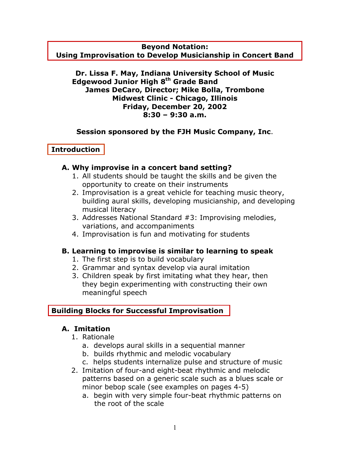**Beyond Notation:** 

**Using Improvisation to Develop Musicianship in Concert Band** 

### **Dr. Lissa F. May, Indiana University School of Music Edgewood Junior High 8th Grade Band James DeCaro, Director; Mike Bolla, Trombone Midwest Clinic - Chicago, Illinois Friday, December 20, 2002 8:30 – 9:30 a.m.**

## **Session sponsored by the FJH Music Company, Inc**.

## **Introduction**

## **A. Why improvise in a concert band setting?**

- 1. All students should be taught the skills and be given the opportunity to create on their instruments
- 2. Improvisation is a great vehicle for teaching music theory, building aural skills, developing musicianship, and developing musical literacy
- 3. Addresses National Standard #3: Improvising melodies, variations, and accompaniments
- 4. Improvisation is fun and motivating for students

# **B. Learning to improvise is similar to learning to speak**

- 1. The first step is to build vocabulary
- 2. Grammar and syntax develop via aural imitation
- 3. Children speak by first imitating what they hear, then they begin experimenting with constructing their own meaningful speech

# **Building Blocks for Successful Improvisation**

# **A. Imitation**

- 1. Rationale
	- a. develops aural skills in a sequential manner
	- b. builds rhythmic and melodic vocabulary
	- c. helps students internalize pulse and structure of music
- 2. Imitation of four-and eight-beat rhythmic and melodic patterns based on a generic scale such as a blues scale or minor bebop scale (see examples on pages 4-5)
	- a. begin with very simple four-beat rhythmic patterns on the root of the scale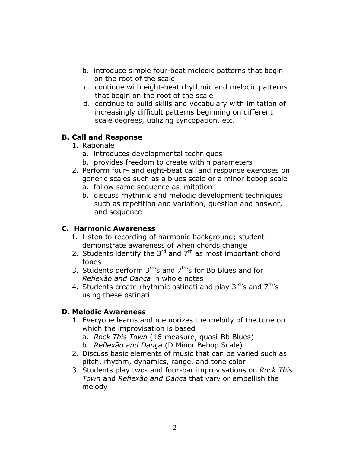- b. introduce simple four-beat melodic patterns that begin on the root of the scale
- c. continue with eight-beat rhythmic and melodic patterns that begin on the root of the scale
- d. continue to build skills and vocabulary with imitation of increasingly difficult patterns beginning on different scale degrees, utilizing syncopation, etc.

# **B. Call and Response**

- 1. Rationale
	- a. introduces developmental techniques
	- b. provides freedom to create within parameters
- 2. Perform four- and eight-beat call and response exercises on generic scales such as a blues scale or a minor bebop scale
	- a. follow same sequence as imitation
	- b. discuss rhythmic and melodic development techniques such as repetition and variation, question and answer, and sequence

## **C. Harmonic Awareness**

- 1. Listen to recording of harmonic background; student demonstrate awareness of when chords change
- 2. Students identify the  $3^{rd}$  and  $7^{th}$  as most important chord tones
- 3. Students perform  $3<sup>rd</sup>$ 's and  $7<sup>th</sup>$ 's for Bb Blues and for *Reflexão and Dança* in whole notes
- 4. Students create rhythmic ostinati and play  $3<sup>rd</sup>$ 's and  $7<sup>th</sup>$ 's using these ostinati

# **D. Melodic Awareness**

- 1. Everyone learns and memorizes the melody of the tune on which the improvisation is based
	- a. *Rock This Town* (16-measure, quasi-Bb Blues)
	- b. *Reflexão and Dança* (D Minor Bebop Scale)
- 2. Discuss basic elements of music that can be varied such as pitch, rhythm, dynamics, range, and tone color
- 3. Students play two- and four-bar improvisations on *Rock This Town* and *Reflexão and Dança* that vary or embellish the melody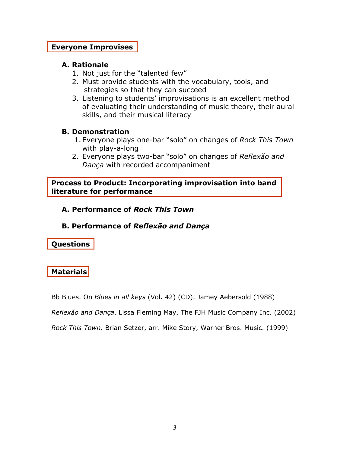### **Everyone Improvises**

### **A. Rationale**

- 1. Not just for the "talented few"
- 2. Must provide students with the vocabulary, tools, and strategies so that they can succeed
- 3. Listening to students' improvisations is an excellent method of evaluating their understanding of music theory, their aural skills, and their musical literacy

## **B. Demonstration**

- 1. Everyone plays one-bar "solo" on changes of *Rock This Town* with play-a-long
- 2. Everyone plays two-bar "solo" on changes of *Reflexão and Dança* with recorded accompaniment

**Process to Product: Incorporating improvisation into band literature for performance** 

**A. Performance of** *Rock This Town* 

### **B. Performance of** *Reflexão and Dança*

**Questions** 

# **Materials**

Bb Blues. On *Blues in all keys* (Vol. 42) (CD). Jamey Aebersold (1988)

*Reflexão and Dança*, Lissa Fleming May, The FJH Music Company Inc. (2002)

*Rock This Town,* Brian Setzer, arr. Mike Story, Warner Bros. Music. (1999)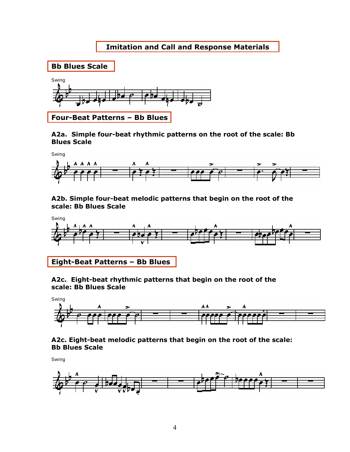## **Imitation and Call and Response Materials**



#### **A2a. Simple four-beat rhythmic patterns on the root of the scale: Bb Blues Scale**



#### **A2b. Simple four-beat melodic patterns that begin on the root of the scale: Bb Blues Scale**



# **Eight-Beat Patterns – Bb Blues**

#### **A2c. Eight-beat rhythmic patterns that begin on the root of the scale: Bb Blues Scale**



#### **A2c. Eight-beat melodic patterns that begin on the root of the scale: Bb Blues Scale**

Swing